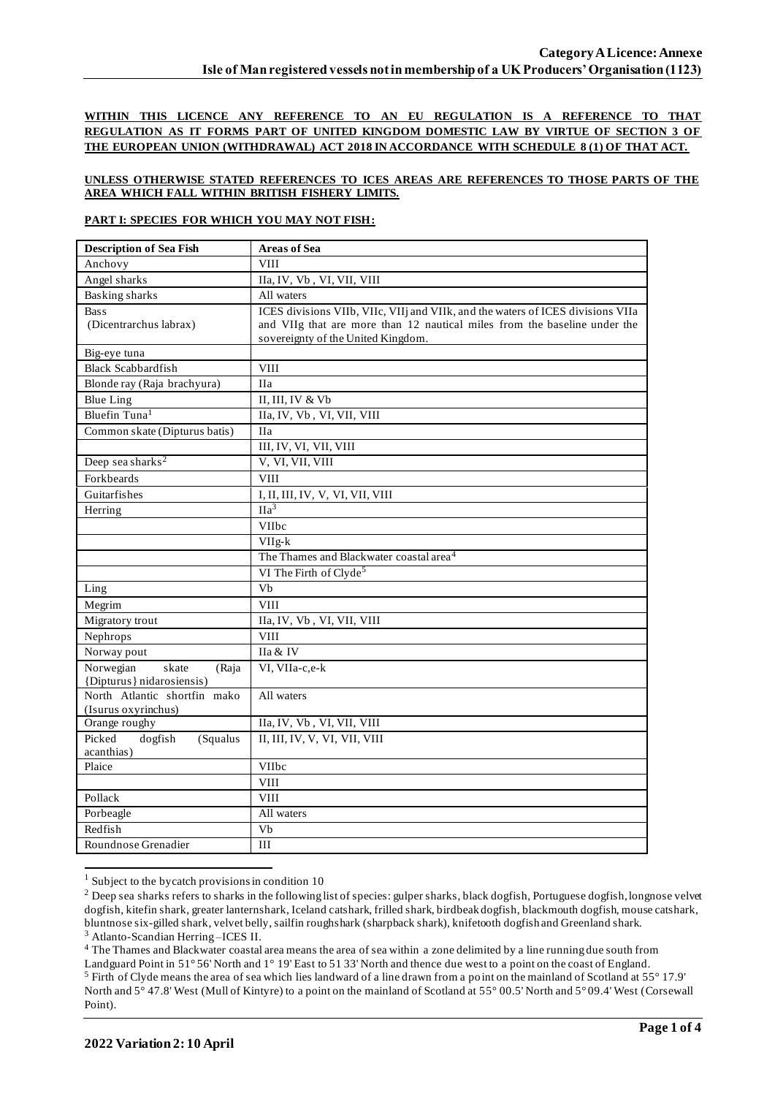**WITHIN THIS LICENCE ANY REFERENCE TO AN EU REGULATION IS A REFERENCE TO THAT REGULATION AS IT FORMS PART OF UNITED KINGDOM DOMESTIC LAW BY VIRTUE OF SECTION 3 OF THE EUROPEAN UNION (WITHDRAWAL) ACT 2018 IN ACCORDANCE WITH SCHEDULE 8 (1) OF THAT ACT.**

#### **UNLESS OTHERWISE STATED REFERENCES TO ICES AREAS ARE REFERENCES TO THOSE PARTS OF THE AREA WHICH FALL WITHIN BRITISH FISHERY LIMITS.**

#### **PART I: SPECIES FOR WHICH YOU MAY NOT FISH:**

| <b>Description of Sea Fish</b>              | <b>Areas of Sea</b>                                                             |  |  |  |  |
|---------------------------------------------|---------------------------------------------------------------------------------|--|--|--|--|
| Anchovy                                     | <b>VIII</b>                                                                     |  |  |  |  |
| Angel sharks                                | IIa, IV, Vb, VI, VII, VIII                                                      |  |  |  |  |
| <b>Basking sharks</b>                       | All waters                                                                      |  |  |  |  |
| <b>Bass</b>                                 | ICES divisions VIIb, VIIc, VIIj and VIIk, and the waters of ICES divisions VIIa |  |  |  |  |
| (Dicentrarchus labrax)                      | and VIIg that are more than 12 nautical miles from the baseline under the       |  |  |  |  |
|                                             | sovereignty of the United Kingdom.                                              |  |  |  |  |
| Big-eye tuna                                |                                                                                 |  |  |  |  |
| <b>Black Scabbardfish</b>                   | <b>VIII</b>                                                                     |  |  |  |  |
| Blonde ray (Raja brachyura)                 | <b>IIa</b>                                                                      |  |  |  |  |
| <b>Blue Ling</b>                            | II, III, IV & Vb                                                                |  |  |  |  |
| Bluefin Tuna <sup>1</sup>                   | IIa, IV, Vb, VI, VII, VIII                                                      |  |  |  |  |
| Common skate (Dipturus batis)               | <b>IIa</b>                                                                      |  |  |  |  |
|                                             | III, IV, VI, VII, VIII                                                          |  |  |  |  |
| Deep sea sharks <sup>2</sup>                | V, VI, VII, VIII                                                                |  |  |  |  |
| Forkbeards                                  | <b>VIII</b>                                                                     |  |  |  |  |
| Guitarfishes                                | I, II, III, IV, V, VI, VII, VIII                                                |  |  |  |  |
| Herring                                     | $\overline{Ha^3}$                                                               |  |  |  |  |
|                                             | VIIbc                                                                           |  |  |  |  |
|                                             | VIIg-k                                                                          |  |  |  |  |
|                                             | The Thames and Blackwater coastal area <sup>4</sup>                             |  |  |  |  |
|                                             | VI The Firth of Clyde <sup>5</sup>                                              |  |  |  |  |
| Ling                                        | $\overline{Vb}$                                                                 |  |  |  |  |
| Megrim                                      | <b>VIII</b>                                                                     |  |  |  |  |
| Migratory trout                             | IIa, IV, Vb, VI, VII, VIII                                                      |  |  |  |  |
| Nephrops                                    | <b>VIII</b>                                                                     |  |  |  |  |
| Norway pout                                 | IIa & IV                                                                        |  |  |  |  |
| Norwegian<br>skate<br>(Raja                 | VI, VIIa-c,e-k                                                                  |  |  |  |  |
| {Dipturus} nidarosiensis)                   |                                                                                 |  |  |  |  |
| North Atlantic shortfin mako                | All waters                                                                      |  |  |  |  |
| (Isurus oxyrinchus)                         |                                                                                 |  |  |  |  |
| Orange roughy                               | IIa, IV, Vb, VI, VII, VIII                                                      |  |  |  |  |
| Picked<br>dogfish<br>(Squalus<br>acanthias) | II, III, IV, V, VI, VII, VIII                                                   |  |  |  |  |
| Plaice                                      | VIIbc                                                                           |  |  |  |  |
|                                             | <b>VIII</b>                                                                     |  |  |  |  |
| Pollack                                     | <b>VIII</b>                                                                     |  |  |  |  |
| Porbeagle                                   | All waters                                                                      |  |  |  |  |
| Redfish                                     | Vb                                                                              |  |  |  |  |
| Roundnose Grenadier                         | III                                                                             |  |  |  |  |

 $1$  Subject to the bycatch provisions in condition 10

<sup>4</sup> The Thames and Blackwater coastal area means the area of sea within a zone delimited by a line running due south from

<sup>&</sup>lt;sup>2</sup> Deep sea sharks refers to sharks in the following list of species: gulper sharks, black dogfish, Portuguese dogfish, longnose velvet dogfish, kitefin shark, greater lanternshark, Iceland catshark, frilled shark, birdbeak dogfish, blackmouth dogfish, mouse catshark, bluntnose six-gilled shark, velvet belly, sailfin roughshark (sharpback shark), knifetooth dogfish and Greenland shark. <sup>3</sup> Atlanto-Scandian Herring –ICES II.

Landguard Point in 51° 56' North and 1° 19' East to 51 33' North and thence due west to a point on the coast of England. <sup>5</sup> Firth of Clyde means the area of sea which lies landward of a line drawn from a point on the mainland of Scotland at 55° 17.9' North and 5° 47.8' West (Mull of Kintyre) to a point on the mainland of Scotland at 55° 00.5' North and 5° 09.4' West (Corsewall Point).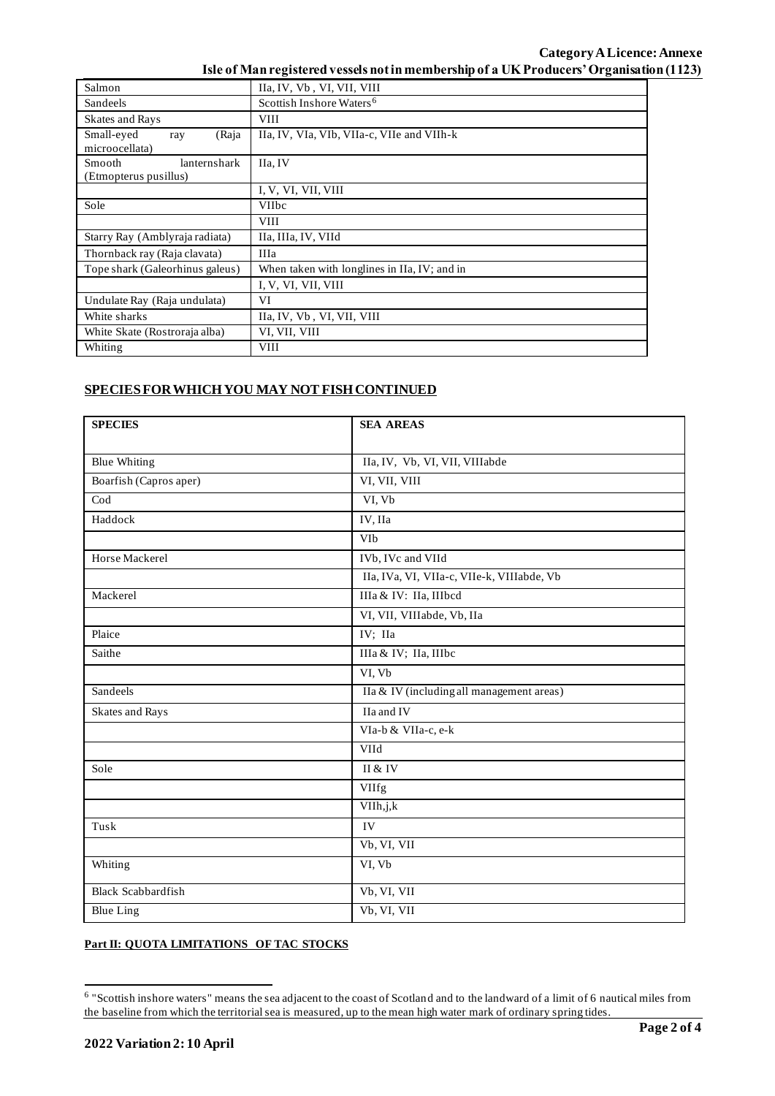## **Category ALicence: Annexe Isle of Man registered vessels not in membership of a UK Producers' Organisation (1123)**

| Salmon                                                 | IIa, IV, Vb, VI, VII, VIII                   |  |  |  |  |
|--------------------------------------------------------|----------------------------------------------|--|--|--|--|
| Sandeels                                               | Scottish Inshore Waters <sup>6</sup>         |  |  |  |  |
| <b>Skates and Rays</b>                                 | <b>VIII</b>                                  |  |  |  |  |
| Small-eyed<br>(Raja<br>ray<br>microocellata)           | IIa, IV, VIa, VIb, VIIa-c, VIIe and VIIh-k   |  |  |  |  |
| lanternshark<br><b>Smooth</b><br>(Etmopterus pusillus) | IIa. IV                                      |  |  |  |  |
|                                                        | I, V, VI, VII, VIII                          |  |  |  |  |
| Sole                                                   | <b>VIIbc</b>                                 |  |  |  |  |
|                                                        | <b>VIII</b>                                  |  |  |  |  |
| Starry Ray (Amblyraja radiata)                         | IIa, IIIa, IV, VIId                          |  |  |  |  |
| Thornback ray (Raja clavata)                           | <b>IIIa</b>                                  |  |  |  |  |
| Tope shark (Galeorhinus galeus)                        | When taken with longlines in IIa, IV; and in |  |  |  |  |
|                                                        | I, V, VI, VII, VIII                          |  |  |  |  |
| Undulate Ray (Raja undulata)                           | VI                                           |  |  |  |  |
| White sharks                                           | IIa, IV, Vb, VI, VII, VIII                   |  |  |  |  |
| White Skate (Rostroraja alba)                          | VI, VII, VIII                                |  |  |  |  |
| Whiting                                                | <b>VIII</b>                                  |  |  |  |  |

## **SPECIES FOR WHICH YOU MAY NOT FISH CONTINUED**

| <b>SPECIES</b>            | <b>SEA AREAS</b>                           |  |  |  |
|---------------------------|--------------------------------------------|--|--|--|
|                           |                                            |  |  |  |
| <b>Blue Whiting</b>       | IIa, IV, Vb, VI, VII, VIIIabde             |  |  |  |
| Boarfish (Capros aper)    | VI, VII, VIII                              |  |  |  |
| $\overline{\text{Cod}}$   | VI, Vb                                     |  |  |  |
| Haddock                   | IV, IIa                                    |  |  |  |
|                           | VIb                                        |  |  |  |
| Horse Mackerel            | IVb, IVc and VIId                          |  |  |  |
|                           | IIa, IVa, VI, VIIa-c, VIIe-k, VIIIabde, Vb |  |  |  |
| Mackerel                  | IIIa & IV: IIa, IIIbcd                     |  |  |  |
|                           | VI, VII, VIIIabde, Vb, IIa                 |  |  |  |
| Plaice                    | IV; IIa                                    |  |  |  |
| Saithe                    | IIIa & IV; IIa, IIIbc                      |  |  |  |
|                           | VI, Vb                                     |  |  |  |
| Sandeels                  | IIa & IV (including all management areas)  |  |  |  |
| <b>Skates and Rays</b>    | IIa and IV                                 |  |  |  |
|                           | VIa-b & VIIa-c, e-k                        |  |  |  |
|                           | <b>VIId</b>                                |  |  |  |
| Sole                      | II & IV                                    |  |  |  |
|                           | VIIfg                                      |  |  |  |
|                           | VIIh, j, k                                 |  |  |  |
| Tusk                      | IV                                         |  |  |  |
|                           | Vb, VI, VII                                |  |  |  |
| Whiting                   | VI, Vb                                     |  |  |  |
| <b>Black Scabbardfish</b> | Vb, VI, VII                                |  |  |  |
| <b>Blue Ling</b>          | Vb, VI, VII                                |  |  |  |

## **Part II: QUOTA LIMITATIONS OF TAC STOCKS**

<sup>&</sup>lt;sup>6</sup> "Scottish inshore waters" means the sea adjacent to the coast of Scotland and to the landward of a limit of 6 nautical miles from the baseline from which the territorial sea is measured, up to the mean high water mark of ordinary spring tides.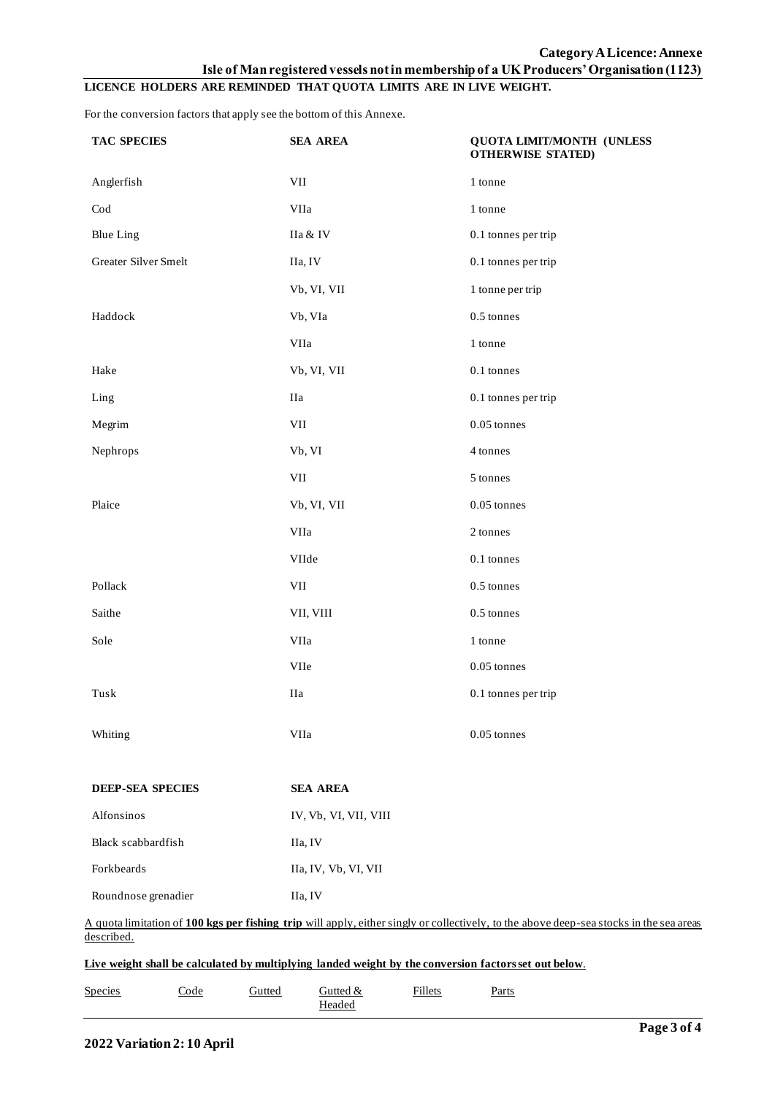# **LICENCE HOLDERS ARE REMINDED THAT QUOTA LIMITS ARE IN LIVE WEIGHT.**

For the conversion factors that apply see the bottom of this Annexe.

| <b>TAC SPECIES</b>      | <b>SEA AREA</b>              | QUOTA LIMIT/MONTH (UNLESS<br><b>OTHERWISE STATED)</b>                                                                                   |  |  |  |  |
|-------------------------|------------------------------|-----------------------------------------------------------------------------------------------------------------------------------------|--|--|--|--|
| Anglerfish              | VII                          | 1 tonne                                                                                                                                 |  |  |  |  |
| $\operatorname{Cod}$    | <b>VIIa</b>                  | 1 tonne                                                                                                                                 |  |  |  |  |
| <b>Blue Ling</b>        | IIa & IV                     | 0.1 tonnes per trip                                                                                                                     |  |  |  |  |
| Greater Silver Smelt    | IIa, IV                      | 0.1 tonnes per trip                                                                                                                     |  |  |  |  |
|                         | Vb, VI, VII                  | 1 tonne per trip                                                                                                                        |  |  |  |  |
| Haddock                 | Vb, VIa                      | 0.5 tonnes                                                                                                                              |  |  |  |  |
|                         | VIIa                         | 1 tonne                                                                                                                                 |  |  |  |  |
| Hake                    | Vb, VI, VII                  | 0.1 tonnes                                                                                                                              |  |  |  |  |
| Ling                    | IIa                          | 0.1 tonnes per trip                                                                                                                     |  |  |  |  |
| Megrim                  | VII                          | $0.05$ tonnes                                                                                                                           |  |  |  |  |
| Nephrops                | Vb, VI                       | 4 tonnes                                                                                                                                |  |  |  |  |
|                         | VII                          | 5 tonnes                                                                                                                                |  |  |  |  |
| Plaice                  | Vb, VI, VII                  | $0.05$ tonnes                                                                                                                           |  |  |  |  |
|                         | VIIa                         | 2 tonnes                                                                                                                                |  |  |  |  |
|                         | VIIde                        | $0.1$ tonnes                                                                                                                            |  |  |  |  |
| Pollack                 | VII                          | $0.5$ tonnes                                                                                                                            |  |  |  |  |
| Saithe                  | VII, VIII                    | $0.5$ tonnes                                                                                                                            |  |  |  |  |
| Sole                    | VIIa                         | 1 tonne                                                                                                                                 |  |  |  |  |
|                         | $\ensuremath{\text{VIIe}}$   | $0.05$ tonnes                                                                                                                           |  |  |  |  |
| Tusk                    | IIa                          | 0.1 tonnes per trip                                                                                                                     |  |  |  |  |
| Whiting                 | VIIa                         | 0.05 tonnes                                                                                                                             |  |  |  |  |
| <b>DEEP-SEA SPECIES</b> | <b>SEA AREA</b>              |                                                                                                                                         |  |  |  |  |
| Alfonsinos              | IV, Vb, VI, VII, VIII        |                                                                                                                                         |  |  |  |  |
| Black scabbardfish      | IIa, IV                      |                                                                                                                                         |  |  |  |  |
| Forkbeards              | IIa, IV, Vb, VI, VII         |                                                                                                                                         |  |  |  |  |
| Roundnose grenadier     | IIa, IV                      |                                                                                                                                         |  |  |  |  |
| described.              |                              | A quota limitation of 100 kgs per fishing trip will apply, either singly or collectively, to the above deep-sea stocks in the sea areas |  |  |  |  |
|                         |                              | Live weight shall be calculated by multiplying landed weight by the conversion factors set out below.                                   |  |  |  |  |
| <b>Species</b><br>Code  | Gutted<br>Gutted &<br>Headed | <b>Fillets</b><br>Parts                                                                                                                 |  |  |  |  |
|                         |                              |                                                                                                                                         |  |  |  |  |